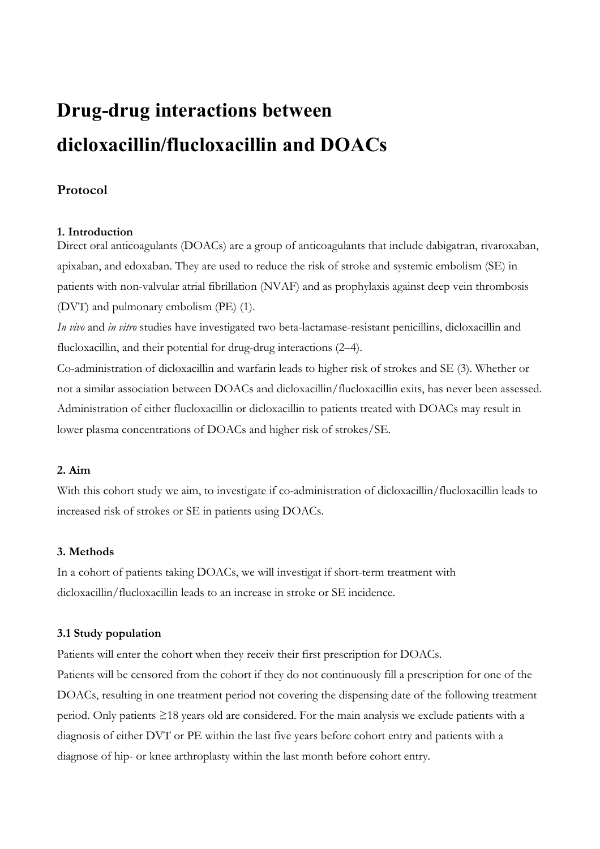# **Drug-drug interactions between dicloxacillin/flucloxacillin and DOACs**

# **Protocol**

# **1. Introduction**

Direct oral anticoagulants (DOACs) are a group of anticoagulants that include dabigatran, rivaroxaban, apixaban, and edoxaban. They are used to reduce the risk of stroke and systemic embolism (SE) in patients with non-valvular atrial fibrillation (NVAF) and as prophylaxis against deep vein thrombosis (DVT) and pulmonary embolism (PE) (1).

*In vivo* and *in vitro* studies have investigated two beta-lactamase-resistant penicillins, dicloxacillin and flucloxacillin, and their potential for drug-drug interactions (2–4).

Co-administration of dicloxacillin and warfarin leads to higher risk of strokes and SE (3). Whether or not a similar association between DOACs and dicloxacillin/flucloxacillin exits, has never been assessed. Administration of either flucloxacillin or dicloxacillin to patients treated with DOACs may result in lower plasma concentrations of DOACs and higher risk of strokes/SE.

# **2. Aim**

With this cohort study we aim, to investigate if co-administration of dicloxacillin/flucloxacillin leads to increased risk of strokes or SE in patients using DOACs.

# **3. Methods**

In a cohort of patients taking DOACs, we will investigat if short-term treatment with dicloxacillin/flucloxacillin leads to an increase in stroke or SE incidence.

# **3.1 Study population**

Patients will enter the cohort when they receiv their first prescription for DOACs.

Patients will be censored from the cohort if they do not continuously fill a prescription for one of the DOACs, resulting in one treatment period not covering the dispensing date of the following treatment period. Only patients ≥18 years old are considered. For the main analysis we exclude patients with a diagnosis of either DVT or PE within the last five years before cohort entry and patients with a diagnose of hip- or knee arthroplasty within the last month before cohort entry.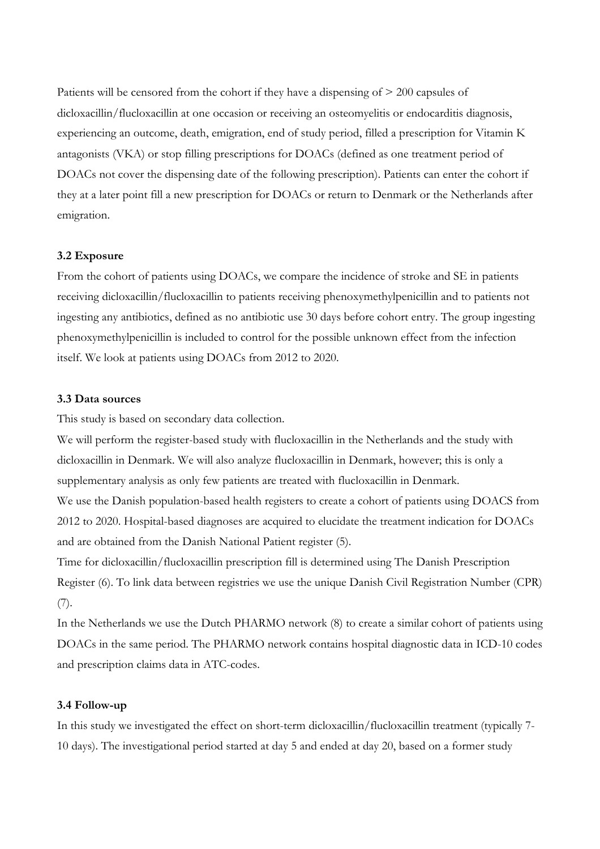Patients will be censored from the cohort if they have a dispensing of > 200 capsules of dicloxacillin/flucloxacillin at one occasion or receiving an osteomyelitis or endocarditis diagnosis, experiencing an outcome, death, emigration, end of study period, filled a prescription for Vitamin K antagonists (VKA) or stop filling prescriptions for DOACs (defined as one treatment period of DOACs not cover the dispensing date of the following prescription). Patients can enter the cohort if they at a later point fill a new prescription for DOACs or return to Denmark or the Netherlands after emigration.

#### **3.2 Exposure**

From the cohort of patients using DOACs, we compare the incidence of stroke and SE in patients receiving dicloxacillin/flucloxacillin to patients receiving phenoxymethylpenicillin and to patients not ingesting any antibiotics, defined as no antibiotic use 30 days before cohort entry. The group ingesting phenoxymethylpenicillin is included to control for the possible unknown effect from the infection itself. We look at patients using DOACs from 2012 to 2020.

#### **3.3 Data sources**

This study is based on secondary data collection.

We will perform the register-based study with flucloxacillin in the Netherlands and the study with dicloxacillin in Denmark. We will also analyze flucloxacillin in Denmark, however; this is only a supplementary analysis as only few patients are treated with flucloxacillin in Denmark. We use the Danish population-based health registers to create a cohort of patients using DOACS from 2012 to 2020. Hospital-based diagnoses are acquired to elucidate the treatment indication for DOACs and are obtained from the Danish National Patient register (5).

Time for dicloxacillin/flucloxacillin prescription fill is determined using The Danish Prescription Register (6). To link data between registries we use the unique Danish Civil Registration Number (CPR) (7).

In the Netherlands we use the Dutch PHARMO network (8) to create a similar cohort of patients using DOACs in the same period. The PHARMO network contains hospital diagnostic data in ICD-10 codes and prescription claims data in ATC-codes.

#### **3.4 Follow-up**

In this study we investigated the effect on short-term dicloxacillin/flucloxacillin treatment (typically 7- 10 days). The investigational period started at day 5 and ended at day 20, based on a former study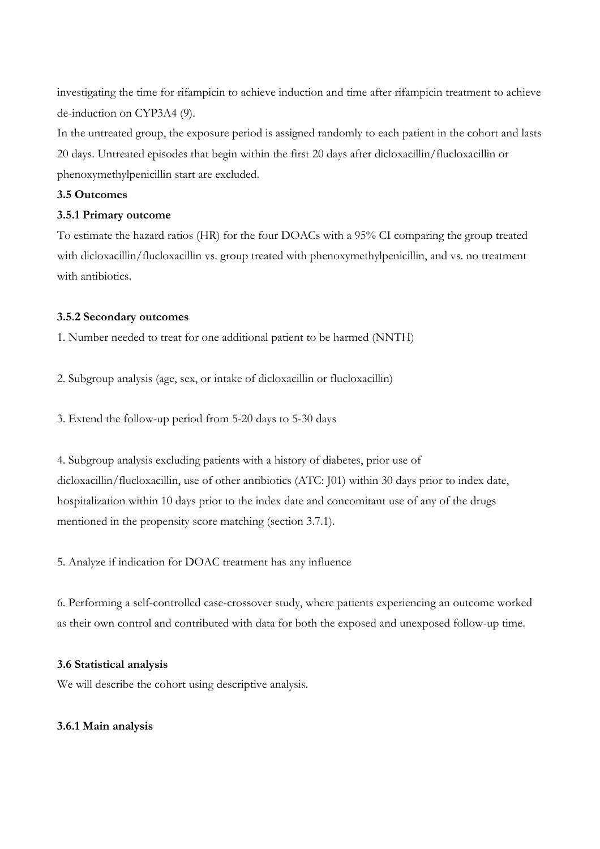investigating the time for rifampicin to achieve induction and time after rifampicin treatment to achieve de-induction on CYP3A4 (9).

In the untreated group, the exposure period is assigned randomly to each patient in the cohort and lasts 20 days. Untreated episodes that begin within the first 20 days after dicloxacillin/flucloxacillin or phenoxymethylpenicillin start are excluded.

# **3.5 Outcomes**

#### **3.5.1 Primary outcome**

To estimate the hazard ratios (HR) for the four DOACs with a 95% CI comparing the group treated with dicloxacillin/flucloxacillin vs. group treated with phenoxymethylpenicillin, and vs. no treatment with antibiotics.

#### **3.5.2 Secondary outcomes**

1. Number needed to treat for one additional patient to be harmed (NNTH)

2. Subgroup analysis (age, sex, or intake of dicloxacillin or flucloxacillin)

3. Extend the follow-up period from 5-20 days to 5-30 days

4. Subgroup analysis excluding patients with a history of diabetes, prior use of dicloxacillin/flucloxacillin, use of other antibiotics (ATC: J01) within 30 days prior to index date, hospitalization within 10 days prior to the index date and concomitant use of any of the drugs mentioned in the propensity score matching (section 3.7.1).

5. Analyze if indication for DOAC treatment has any influence

6. Performing a self-controlled case-crossover study, where patients experiencing an outcome worked as their own control and contributed with data for both the exposed and unexposed follow-up time.

#### **3.6 Statistical analysis**

We will describe the cohort using descriptive analysis.

# **3.6.1 Main analysis**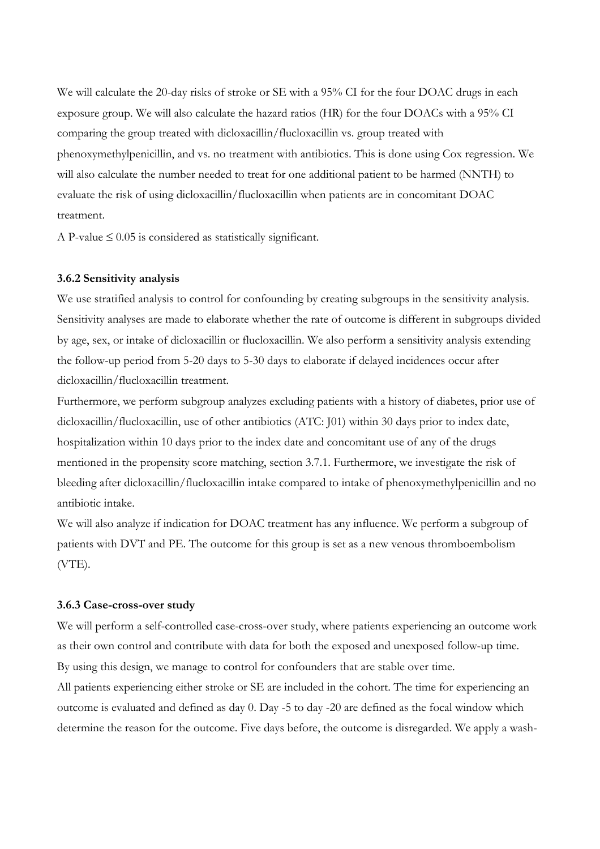We will calculate the 20-day risks of stroke or SE with a 95% CI for the four DOAC drugs in each exposure group. We will also calculate the hazard ratios (HR) for the four DOACs with a 95% CI comparing the group treated with dicloxacillin/flucloxacillin vs. group treated with phenoxymethylpenicillin, and vs. no treatment with antibiotics. This is done using Cox regression. We will also calculate the number needed to treat for one additional patient to be harmed (NNTH) to evaluate the risk of using dicloxacillin/flucloxacillin when patients are in concomitant DOAC treatment.

A P-value  $\leq 0.05$  is considered as statistically significant.

#### **3.6.2 Sensitivity analysis**

We use stratified analysis to control for confounding by creating subgroups in the sensitivity analysis. Sensitivity analyses are made to elaborate whether the rate of outcome is different in subgroups divided by age, sex, or intake of dicloxacillin or flucloxacillin. We also perform a sensitivity analysis extending the follow-up period from 5-20 days to 5-30 days to elaborate if delayed incidences occur after dicloxacillin/flucloxacillin treatment.

Furthermore, we perform subgroup analyzes excluding patients with a history of diabetes, prior use of dicloxacillin/flucloxacillin, use of other antibiotics (ATC: J01) within 30 days prior to index date, hospitalization within 10 days prior to the index date and concomitant use of any of the drugs mentioned in the propensity score matching, section 3.7.1. Furthermore, we investigate the risk of bleeding after dicloxacillin/flucloxacillin intake compared to intake of phenoxymethylpenicillin and no antibiotic intake.

We will also analyze if indication for DOAC treatment has any influence. We perform a subgroup of patients with DVT and PE. The outcome for this group is set as a new venous thromboembolism (VTE).

#### **3.6.3 Case-cross-over study**

We will perform a self-controlled case-cross-over study, where patients experiencing an outcome work as their own control and contribute with data for both the exposed and unexposed follow-up time. By using this design, we manage to control for confounders that are stable over time.

All patients experiencing either stroke or SE are included in the cohort. The time for experiencing an outcome is evaluated and defined as day 0. Day -5 to day -20 are defined as the focal window which determine the reason for the outcome. Five days before, the outcome is disregarded. We apply a wash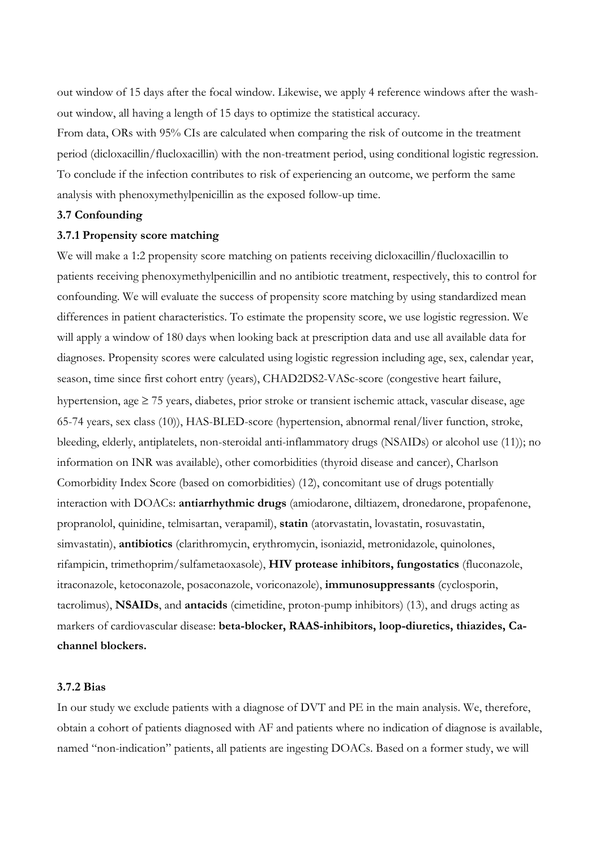out window of 15 days after the focal window. Likewise, we apply 4 reference windows after the washout window, all having a length of 15 days to optimize the statistical accuracy.

From data, ORs with 95% CIs are calculated when comparing the risk of outcome in the treatment period (dicloxacillin/flucloxacillin) with the non-treatment period, using conditional logistic regression. To conclude if the infection contributes to risk of experiencing an outcome, we perform the same analysis with phenoxymethylpenicillin as the exposed follow-up time.

# **3.7 Confounding**

#### **3.7.1 Propensity score matching**

We will make a 1:2 propensity score matching on patients receiving dicloxacillin/flucloxacillin to patients receiving phenoxymethylpenicillin and no antibiotic treatment, respectively, this to control for confounding. We will evaluate the success of propensity score matching by using standardized mean differences in patient characteristics. To estimate the propensity score, we use logistic regression. We will apply a window of 180 days when looking back at prescription data and use all available data for diagnoses. Propensity scores were calculated using logistic regression including age, sex, calendar year, season, time since first cohort entry (years), CHAD2DS2-VASc-score (congestive heart failure, hypertension, age  $\geq$  75 years, diabetes, prior stroke or transient ischemic attack, vascular disease, age 65-74 years, sex class (10)), HAS-BLED-score (hypertension, abnormal renal/liver function, stroke, bleeding, elderly, antiplatelets, non-steroidal anti-inflammatory drugs (NSAIDs) or alcohol use (11)); no information on INR was available), other comorbidities (thyroid disease and cancer), Charlson Comorbidity Index Score (based on comorbidities) (12), concomitant use of drugs potentially interaction with DOACs: **antiarrhythmic drugs** (amiodarone, diltiazem, dronedarone, propafenone, propranolol, quinidine, telmisartan, verapamil), **statin** (atorvastatin, lovastatin, rosuvastatin, simvastatin), **antibiotics** (clarithromycin, erythromycin, isoniazid, metronidazole, quinolones, rifampicin, trimethoprim/sulfametaoxasole), **HIV protease inhibitors, fungostatics** (fluconazole, itraconazole, ketoconazole, posaconazole, voriconazole), **immunosuppressants** (cyclosporin, tacrolimus), **NSAIDs**, and **antacids** (cimetidine, proton-pump inhibitors) (13), and drugs acting as markers of cardiovascular disease: **beta-blocker, RAAS-inhibitors, loop-diuretics, thiazides, Cachannel blockers.**

#### **3.7.2 Bias**

In our study we exclude patients with a diagnose of DVT and PE in the main analysis. We, therefore, obtain a cohort of patients diagnosed with AF and patients where no indication of diagnose is available, named "non-indication" patients, all patients are ingesting DOACs. Based on a former study, we will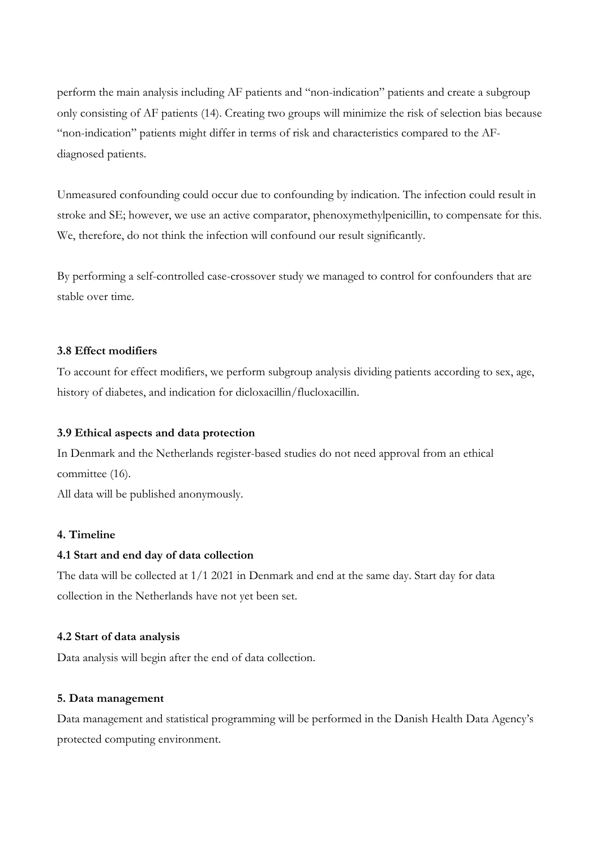perform the main analysis including AF patients and "non-indication" patients and create a subgroup only consisting of AF patients (14). Creating two groups will minimize the risk of selection bias because "non-indication" patients might differ in terms of risk and characteristics compared to the AFdiagnosed patients.

Unmeasured confounding could occur due to confounding by indication. The infection could result in stroke and SE; however, we use an active comparator, phenoxymethylpenicillin, to compensate for this. We, therefore, do not think the infection will confound our result significantly.

By performing a self-controlled case-crossover study we managed to control for confounders that are stable over time.

#### **3.8 Effect modifiers**

To account for effect modifiers, we perform subgroup analysis dividing patients according to sex, age, history of diabetes, and indication for dicloxacillin/flucloxacillin.

#### **3.9 Ethical aspects and data protection**

In Denmark and the Netherlands register-based studies do not need approval from an ethical committee (16).

All data will be published anonymously.

#### **4. Timeline**

#### **4.1 Start and end day of data collection**

The data will be collected at 1/1 2021 in Denmark and end at the same day. Start day for data collection in the Netherlands have not yet been set.

#### **4.2 Start of data analysis**

Data analysis will begin after the end of data collection.

#### **5. Data management**

Data management and statistical programming will be performed in the Danish Health Data Agency's protected computing environment.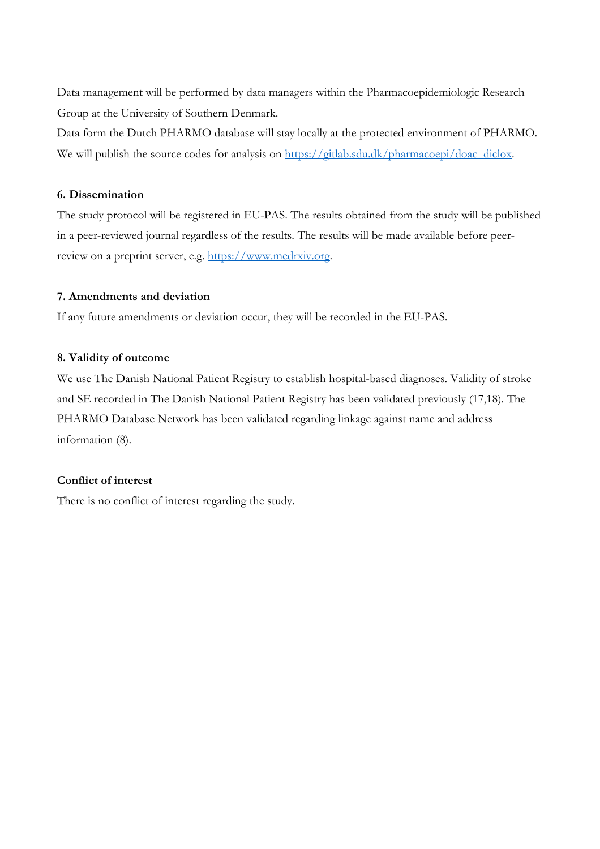Data management will be performed by data managers within the Pharmacoepidemiologic Research Group at the University of Southern Denmark.

Data form the Dutch PHARMO database will stay locally at the protected environment of PHARMO. We will publish the source codes for analysis on https://gitlab.sdu.dk/pharmacoepi/doac\_diclox.

#### **6. Dissemination**

The study protocol will be registered in EU-PAS. The results obtained from the study will be published in a peer-reviewed journal regardless of the results. The results will be made available before peerreview on a preprint server, e.g. https://www.medrxiv.org.

#### **7. Amendments and deviation**

If any future amendments or deviation occur, they will be recorded in the EU-PAS.

#### **8. Validity of outcome**

We use The Danish National Patient Registry to establish hospital-based diagnoses. Validity of stroke and SE recorded in The Danish National Patient Registry has been validated previously (17,18). The PHARMO Database Network has been validated regarding linkage against name and address information (8).

# **Conflict of interest**

There is no conflict of interest regarding the study.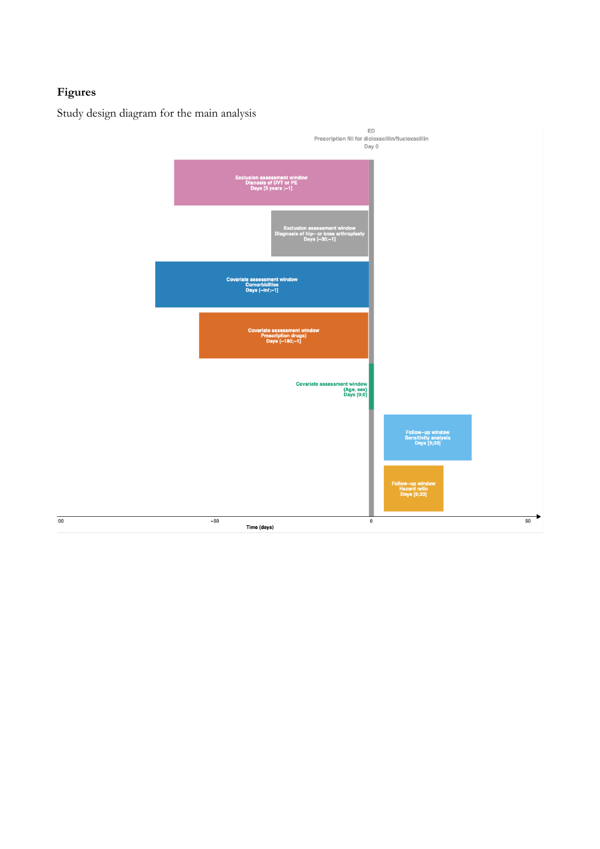# **Figures**

 $\overline{\mathbf{00}}$ 

Study design diagram for the main analysis

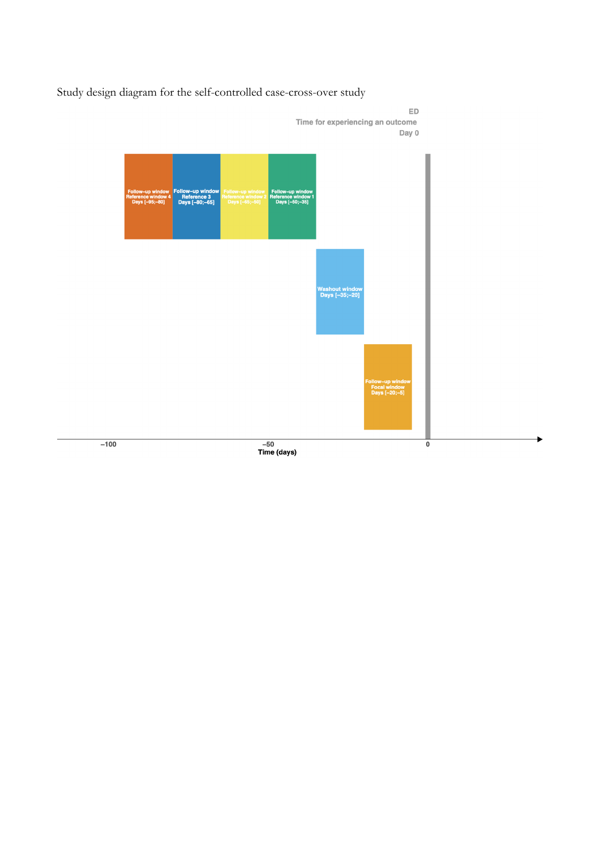Study design diagram for the self-controlled case-cross-over study

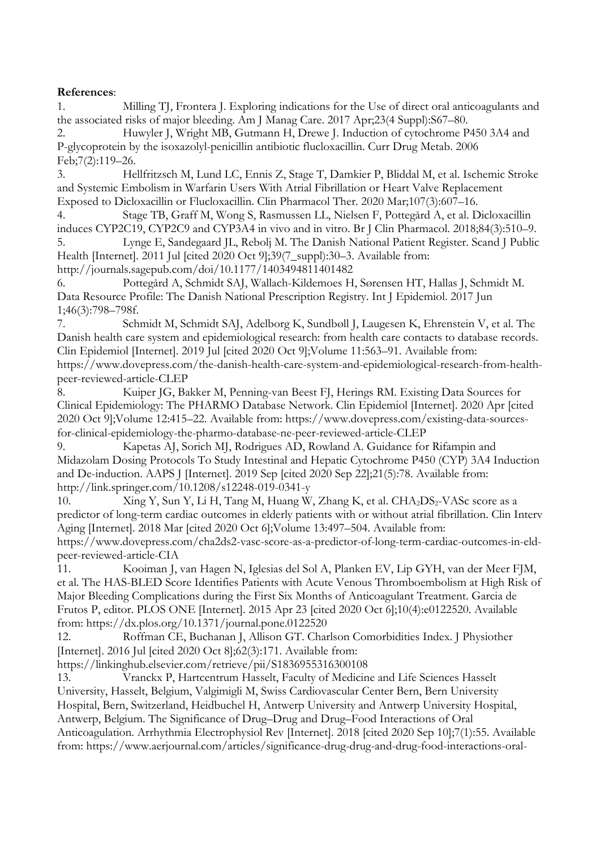# **References**:

1. Milling TJ, Frontera J. Exploring indications for the Use of direct oral anticoagulants and the associated risks of major bleeding. Am J Manag Care. 2017 Apr;23(4 Suppl):S67–80.

2. Huwyler J, Wright MB, Gutmann H, Drewe J. Induction of cytochrome P450 3A4 and P-glycoprotein by the isoxazolyl-penicillin antibiotic flucloxacillin. Curr Drug Metab. 2006 Feb;7(2):119–26.

3. Hellfritzsch M, Lund LC, Ennis Z, Stage T, Damkier P, Bliddal M, et al. Ischemic Stroke and Systemic Embolism in Warfarin Users With Atrial Fibrillation or Heart Valve Replacement Exposed to Dicloxacillin or Flucloxacillin. Clin Pharmacol Ther. 2020 Mar;107(3):607–16.

4. Stage TB, Graff M, Wong S, Rasmussen LL, Nielsen F, Pottegård A, et al. Dicloxacillin induces CYP2C19, CYP2C9 and CYP3A4 in vivo and in vitro. Br J Clin Pharmacol. 2018;84(3):510–9.

5. Lynge E, Sandegaard JL, Rebolj M. The Danish National Patient Register. Scand J Public Health [Internet]. 2011 Jul [cited 2020 Oct 9];39(7\_suppl):30-3. Available from: http://journals.sagepub.com/doi/10.1177/1403494811401482

6. Pottegård A, Schmidt SAJ, Wallach-Kildemoes H, Sørensen HT, Hallas J, Schmidt M. Data Resource Profile: The Danish National Prescription Registry. Int J Epidemiol. 2017 Jun 1;46(3):798–798f.

7. Schmidt M, Schmidt SAJ, Adelborg K, Sundbøll J, Laugesen K, Ehrenstein V, et al. The Danish health care system and epidemiological research: from health care contacts to database records. Clin Epidemiol [Internet]. 2019 Jul [cited 2020 Oct 9];Volume 11:563–91. Available from: https://www.dovepress.com/the-danish-health-care-system-and-epidemiological-research-from-healthpeer-reviewed-article-CLEP

8. Kuiper JG, Bakker M, Penning-van Beest FJ, Herings RM. Existing Data Sources for Clinical Epidemiology: The PHARMO Database Network. Clin Epidemiol [Internet]. 2020 Apr [cited 2020 Oct 9];Volume 12:415–22. Available from: https://www.dovepress.com/existing-data-sourcesfor-clinical-epidemiology-the-pharmo-database-ne-peer-reviewed-article-CLEP

9. Kapetas AJ, Sorich MJ, Rodrigues AD, Rowland A. Guidance for Rifampin and Midazolam Dosing Protocols To Study Intestinal and Hepatic Cytochrome P450 (CYP) 3A4 Induction and De-induction. AAPS J [Internet]. 2019 Sep [cited 2020 Sep 22];21(5):78. Available from: http://link.springer.com/10.1208/s12248-019-0341-y

10. Xing Y, Sun Y, Li H, Tang M, Huang W, Zhang K, et al. CHA<sub>2</sub>DS<sub>2</sub>-VASc score as a predictor of long-term cardiac outcomes in elderly patients with or without atrial fibrillation. Clin Interv Aging [Internet]. 2018 Mar [cited 2020 Oct 6];Volume 13:497–504. Available from: https://www.dovepress.com/cha2ds2-vasc-score-as-a-predictor-of-long-term-cardiac-outcomes-in-eldpeer-reviewed-article-CIA

11. Kooiman J, van Hagen N, Iglesias del Sol A, Planken EV, Lip GYH, van der Meer FJM, et al. The HAS-BLED Score Identifies Patients with Acute Venous Thromboembolism at High Risk of Major Bleeding Complications during the First Six Months of Anticoagulant Treatment. Garcia de Frutos P, editor. PLOS ONE [Internet]. 2015 Apr 23 [cited 2020 Oct 6];10(4):e0122520. Available from: https://dx.plos.org/10.1371/journal.pone.0122520

12. Roffman CE, Buchanan J, Allison GT. Charlson Comorbidities Index. J Physiother [Internet]. 2016 Jul [cited 2020 Oct 8];62(3):171. Available from:

https://linkinghub.elsevier.com/retrieve/pii/S1836955316300108

13. Vranckx P, Hartcentrum Hasselt, Faculty of Medicine and Life Sciences Hasselt University, Hasselt, Belgium, Valgimigli M, Swiss Cardiovascular Center Bern, Bern University Hospital, Bern, Switzerland, Heidbuchel H, Antwerp University and Antwerp University Hospital, Antwerp, Belgium. The Significance of Drug–Drug and Drug–Food Interactions of Oral Anticoagulation. Arrhythmia Electrophysiol Rev [Internet]. 2018 [cited 2020 Sep 10];7(1):55. Available from: https://www.aerjournal.com/articles/significance-drug-drug-and-drug-food-interactions-oral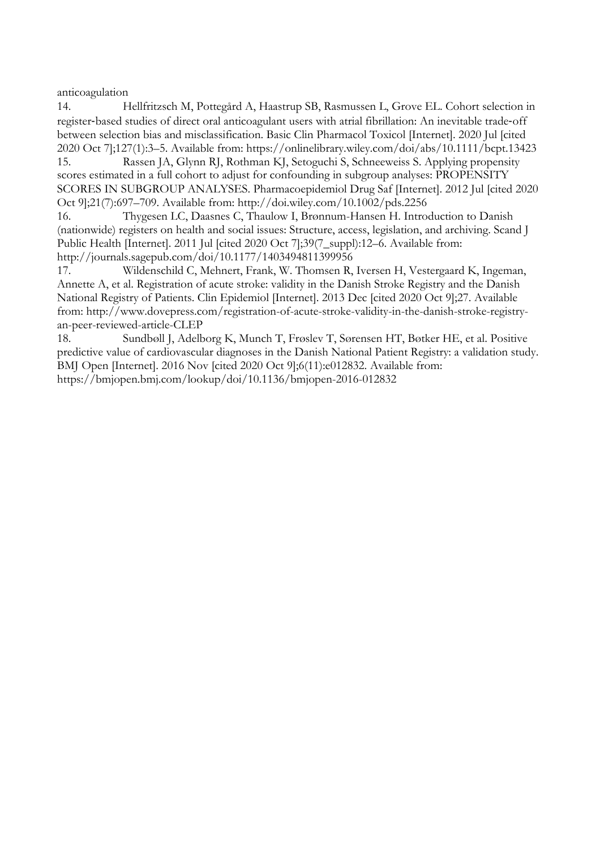anticoagulation

14. Hellfritzsch M, Pottegård A, Haastrup SB, Rasmussen L, Grove EL. Cohort selection in register-based studies of direct oral anticoagulant users with atrial fibrillation: An inevitable trade-off between selection bias and misclassification. Basic Clin Pharmacol Toxicol [Internet]. 2020 Jul [cited 2020 Oct 7];127(1):3–5. Available from: https://onlinelibrary.wiley.com/doi/abs/10.1111/bcpt.13423

15. Rassen JA, Glynn RJ, Rothman KJ, Setoguchi S, Schneeweiss S. Applying propensity scores estimated in a full cohort to adjust for confounding in subgroup analyses: PROPENSITY SCORES IN SUBGROUP ANALYSES. Pharmacoepidemiol Drug Saf [Internet]. 2012 Jul [cited 2020 Oct 9];21(7):697–709. Available from: http://doi.wiley.com/10.1002/pds.2256

16. Thygesen LC, Daasnes C, Thaulow I, Brønnum-Hansen H. Introduction to Danish (nationwide) registers on health and social issues: Structure, access, legislation, and archiving. Scand J Public Health [Internet]. 2011 Jul [cited 2020 Oct 7];39(7\_suppl):12–6. Available from: http://journals.sagepub.com/doi/10.1177/1403494811399956

17. Wildenschild C, Mehnert, Frank, W. Thomsen R, Iversen H, Vestergaard K, Ingeman, Annette A, et al. Registration of acute stroke: validity in the Danish Stroke Registry and the Danish National Registry of Patients. Clin Epidemiol [Internet]. 2013 Dec [cited 2020 Oct 9];27. Available from: http://www.dovepress.com/registration-of-acute-stroke-validity-in-the-danish-stroke-registryan-peer-reviewed-article-CLEP

18. Sundbøll J, Adelborg K, Munch T, Frøslev T, Sørensen HT, Bøtker HE, et al. Positive predictive value of cardiovascular diagnoses in the Danish National Patient Registry: a validation study. BMJ Open [Internet]. 2016 Nov [cited 2020 Oct 9];6(11):e012832. Available from: https://bmjopen.bmj.com/lookup/doi/10.1136/bmjopen-2016-012832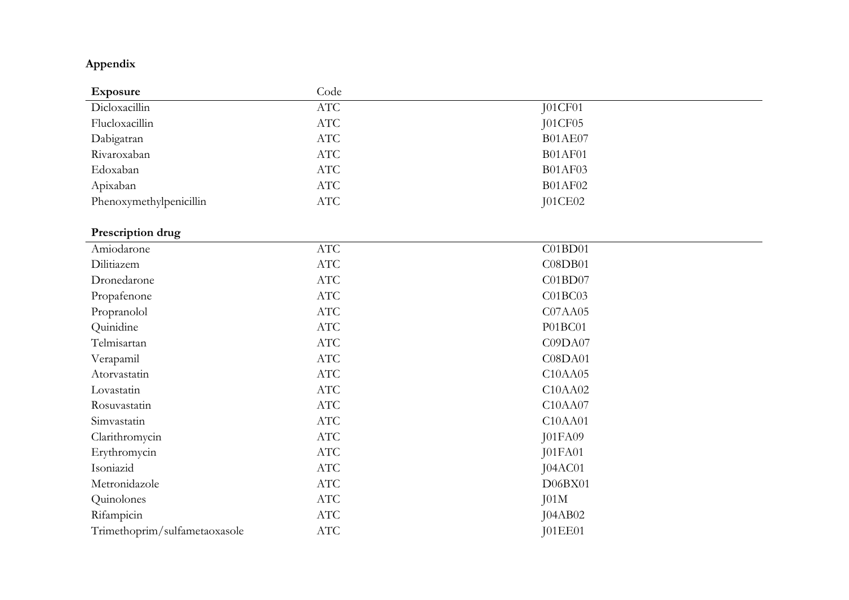# **Appendix**

| Exposure                | Code |                |
|-------------------------|------|----------------|
| Dicloxacillin           | ATC  | J01CF01        |
| Flucloxacillin          | ATC  | JO1CF05        |
| Dabigatran              | ATC  | <b>B01AE07</b> |
| Rivaroxaban             | ATC  | <b>B01AF01</b> |
| Edoxaban                | ATC  | <b>B01AF03</b> |
| Apixaban                | ATC  | <b>B01AF02</b> |
| Phenoxymethylpenicillin | ATC  | J01CE02        |

# **Prescription drug**

| 1100                          |            |                |
|-------------------------------|------------|----------------|
| Amiodarone                    | ATC        | C01BD01        |
| Dilitiazem                    | ATC        | C08DB01        |
| Dronedarone                   | <b>ATC</b> | C01BD07        |
| Propafenone                   | ATC        | C01BC03        |
| Propranolol                   | ATC        | C07AA05        |
| Quinidine                     | ATC        | P01BC01        |
| Telmisartan                   | <b>ATC</b> | C09DA07        |
| Verapamil                     | <b>ATC</b> | C08DA01        |
| Atorvastatin                  | ATC        | C10AA05        |
| Lovastatin                    | ATC        | C10AA02        |
| Rosuvastatin                  | ATC        | C10AA07        |
| Simvastatin                   | ATC        | C10AA01        |
| Clarithromycin                | ATC        | <b>J01FA09</b> |
| Erythromycin                  | ATC        | <b>J01FA01</b> |
| Isoniazid                     | ATC        | JO4AC01        |
| Metronidazole                 | <b>ATC</b> | D06BX01        |
| Quinolones                    | <b>ATC</b> | J01M           |
| Rifampicin                    | <b>ATC</b> | J04AB02        |
| Trimethoprim/sulfametaoxasole | <b>ATC</b> | <b>J01EE01</b> |
|                               |            |                |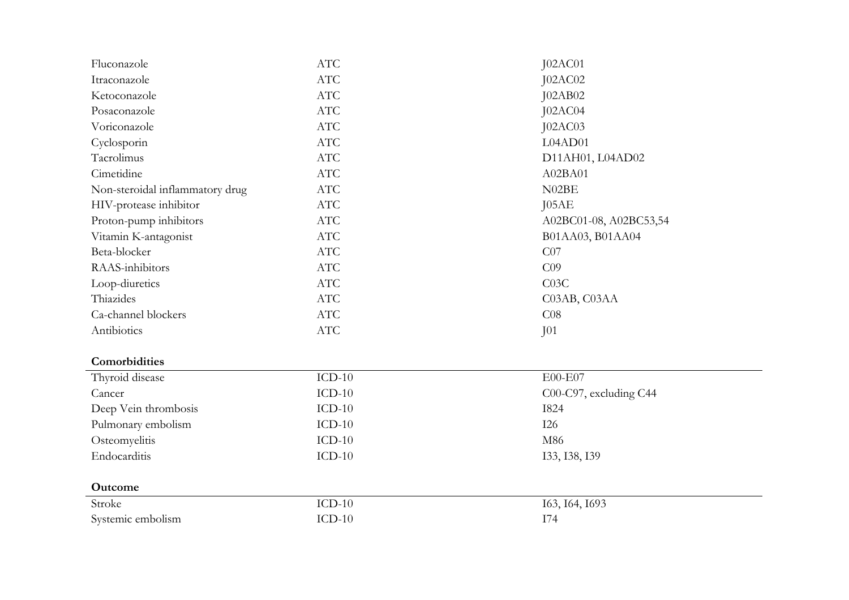| Fluconazole                     | ATC        | J02AC01                |
|---------------------------------|------------|------------------------|
| Itraconazole                    | ATC        | <b>J02AC02</b>         |
| Ketoconazole                    | ATC        | <b>J02AB02</b>         |
| Posaconazole                    | <b>ATC</b> | JO2AC04                |
| Voriconazole                    | $\rm{ATC}$ | JO2AC03                |
| Cyclosporin                     | <b>ATC</b> | L04AD01                |
| Tacrolimus                      | $\rm{ATC}$ | D11AH01, L04AD02       |
| Cimetidine                      | ATC        | A02BA01                |
| Non-steroidal inflammatory drug | <b>ATC</b> | N02BE                  |
| HIV-protease inhibitor          | ATC        | JO5AE                  |
| Proton-pump inhibitors          | $\rm{ATC}$ | A02BC01-08, A02BC53,54 |
| Vitamin K-antagonist            | ATC        | B01AA03, B01AA04       |
| Beta-blocker                    | <b>ATC</b> | CO7                    |
| RAAS-inhibitors                 | <b>ATC</b> | C <sub>09</sub>        |
| Loop-diuretics                  | <b>ATC</b> | C <sub>03C</sub>       |
| Thiazides                       | <b>ATC</b> | C03AB, C03AA           |
| Ca-channel blockers             | ATC        | CO8                    |
| Antibiotics                     | $\rm{ATC}$ | J <sub>01</sub>        |
| Comorbidities                   |            |                        |
| Thyroid disease                 | $ICD-10$   | E00-E07                |
| Cancer                          | $ICD-10$   | C00-C97, excluding C44 |
| Deep Vein thrombosis            | $ICD-10$   | 1824                   |
| Pulmonary embolism              | $ICD-10$   | <b>I26</b>             |
| Osteomyelitis                   | $ICD-10$   | M86                    |
| Endocarditis                    | $ICD-10$   | 133, 138, 139          |
|                                 |            |                        |
| Outcome                         |            |                        |
| Stroke                          | $ICD-10$   | 163, 164, 1693         |
| Systemic embolism               | $ICD-10$   | I74                    |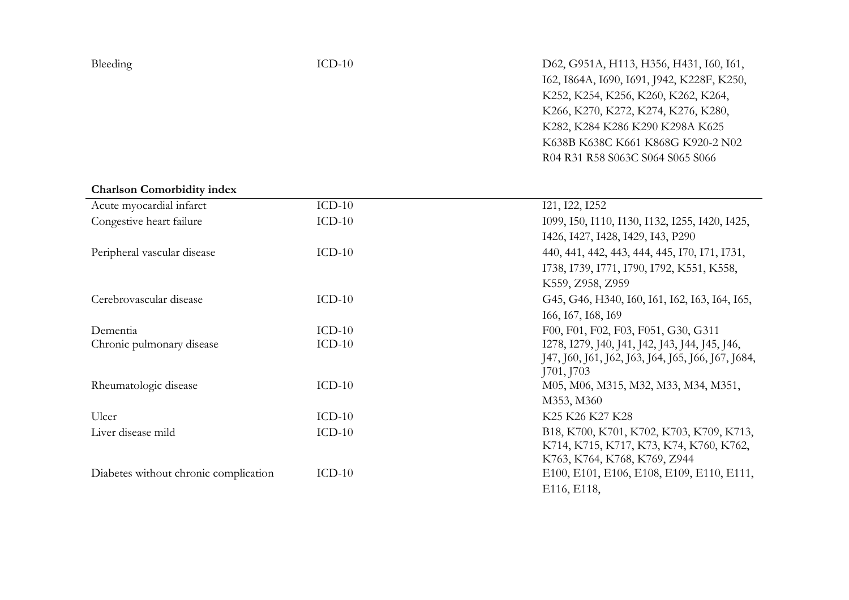D62, G951A, H113, H356, H431, I60, I61, I62, I864A, I690, I691, J942, K228F, K250, K252, K254, K256, K260, K262, K264, K266, K270, K272, K274, K276, K280, K282, K284 K286 K290 K298A K625 K638B K638C K661 K868G K920 -2 N02 R04 R31 R58 S063C S064 S065 S066

# **Charlson Comorbidity index**

| Acute myocardial infarct              | $ICD-10$ | 121, 122, 1252                                     |
|---------------------------------------|----------|----------------------------------------------------|
| Congestive heart failure              | $ICD-10$ | 1099, 150, 1110, 1130, 1132, 1255, 1420, 1425,     |
|                                       |          | I426, I427, I428, I429, I43, P290                  |
| Peripheral vascular disease           | $ICD-10$ | 440, 441, 442, 443, 444, 445, 170, 171, 1731,      |
|                                       |          | I738, I739, I771, I790, I792, K551, K558,          |
|                                       |          | K559, Z958, Z959                                   |
| Cerebrovascular disease               | $ICD-10$ | G45, G46, H340, I60, I61, I62, I63, I64, I65,      |
|                                       |          | 166, 167, 168, 169                                 |
| Dementia                              | $ICD-10$ | F00, F01, F02, F03, F051, G30, G311                |
| Chronic pulmonary disease             | $ICD-10$ | I278, I279, J40, J41, J42, J43, J44, J45, J46,     |
|                                       |          | J47, J60, J61, J62, J63, J64, J65, J66, J67, J684, |
|                                       |          | J701, J703                                         |
| Rheumatologic disease                 | $ICD-10$ | M05, M06, M315, M32, M33, M34, M351,               |
|                                       |          | M353, M360                                         |
| Ulcer                                 | $ICD-10$ | K25 K26 K27 K28                                    |
| Liver disease mild                    | $ICD-10$ | B18, K700, K701, K702, K703, K709, K713,           |
|                                       |          | K714, K715, K717, K73, K74, K760, K762,            |
|                                       |          | K763, K764, K768, K769, Z944                       |
| Diabetes without chronic complication | $ICD-10$ | E100, E101, E106, E108, E109, E110, E111,          |
|                                       |          | E116, E118,                                        |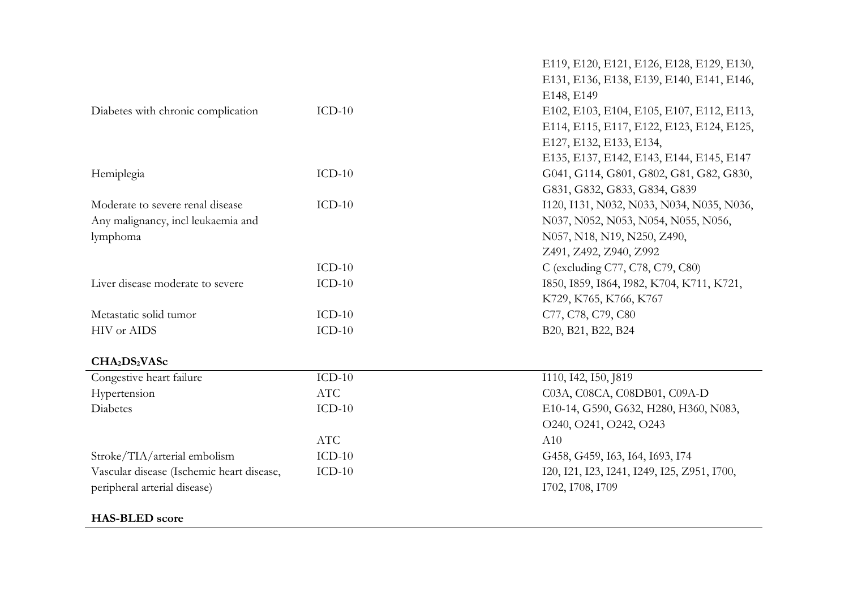|                                           |            | E119, E120, E121, E126, E128, E129, E130,   |
|-------------------------------------------|------------|---------------------------------------------|
|                                           |            | E131, E136, E138, E139, E140, E141, E146,   |
|                                           |            | E148, E149                                  |
| Diabetes with chronic complication        | $ICD-10$   | E102, E103, E104, E105, E107, E112, E113,   |
|                                           |            | E114, E115, E117, E122, E123, E124, E125,   |
|                                           |            | E127, E132, E133, E134,                     |
|                                           |            | E135, E137, E142, E143, E144, E145, E147    |
| Hemiplegia                                | $ICD-10$   | G041, G114, G801, G802, G81, G82, G830,     |
|                                           |            | G831, G832, G833, G834, G839                |
| Moderate to severe renal disease          | $ICD-10$   | I120, I131, N032, N033, N034, N035, N036,   |
| Any malignancy, incl leukaemia and        |            | N037, N052, N053, N054, N055, N056,         |
| lymphoma                                  |            | N057, N18, N19, N250, Z490,                 |
|                                           |            | Z491, Z492, Z940, Z992                      |
|                                           | $ICD-10$   | C (excluding C77, C78, C79, C80)            |
| Liver disease moderate to severe          | $ICD-10$   | 1850, 1859, 1864, 1982, K704, K711, K721,   |
|                                           |            | K729, K765, K766, K767                      |
| Metastatic solid tumor                    | $ICD-10$   | C77, C78, C79, C80                          |
| HIV or AIDS                               | $ICD-10$   | B20, B21, B22, B24                          |
| CHA <sub>2</sub> DS <sub>2</sub> VASc     |            |                                             |
| Congestive heart failure                  | $ICD-10$   | 1110, 142, 150, 1819                        |
| Hypertension                              | ATC        | C03A, C08CA, C08DB01, C09A-D                |
| Diabetes                                  | $ICD-10$   | E10-14, G590, G632, H280, H360, N083,       |
|                                           |            | O240, O241, O242, O243                      |
|                                           | <b>ATC</b> | A10                                         |
| Stroke/TIA/arterial embolism              | $ICD-10$   | G458, G459, I63, I64, I693, I74             |
| Vascular disease (Ischemic heart disease, | $ICD-10$   | I20, I21, I23, I241, I249, I25, Z951, I700, |
| peripheral arterial disease)              |            | I702, I708, I709                            |
|                                           |            |                                             |

# **HAS-BLED score**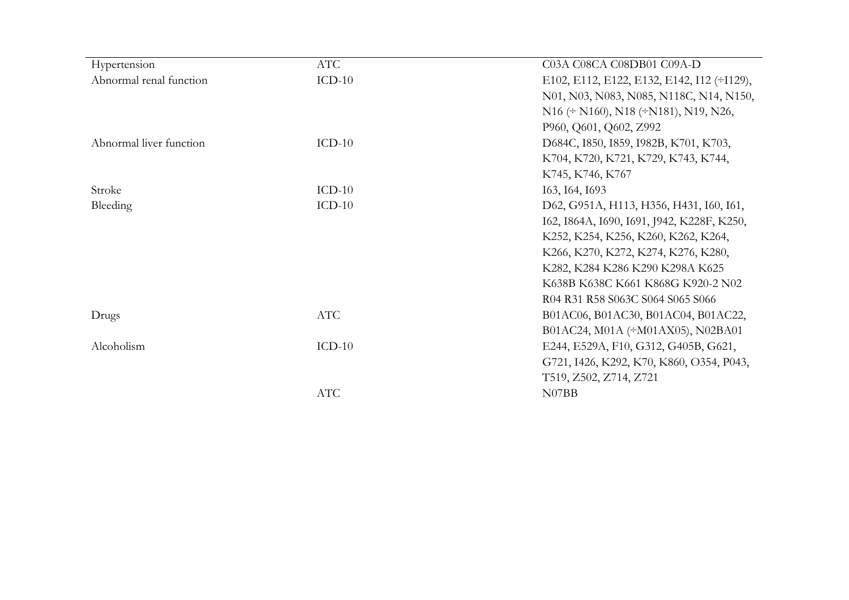| Hypertension            | ATC        | C03A C08CA C08DB01 C09A-D                           |
|-------------------------|------------|-----------------------------------------------------|
| Abnormal renal function | $ICD-10$   | E102, E112, E122, E132, E142, I12 (÷I129),          |
|                         |            | N01, N03, N083, N085, N118C, N14, N150,             |
|                         |            | $N16 \div N160$ , $N18 \div N181$ , $N19$ , $N26$ , |
|                         |            | P960, Q601, Q602, Z992                              |
| Abnormal liver function | $ICD-10$   | D684C, 1850, 1859, 1982B, K701, K703,               |
|                         |            | K704, K720, K721, K729, K743, K744,                 |
|                         |            | K745, K746, K767                                    |
| Stroke                  | $ICD-10$   | 163, 164, 1693                                      |
| Bleeding                | $ICD-10$   | D62, G951A, H113, H356, H431, I60, I61,             |
|                         |            | I62, I864A, I690, I691, J942, K228F, K250,          |
|                         |            | K252, K254, K256, K260, K262, K264,                 |
|                         |            | K266, K270, K272, K274, K276, K280,                 |
|                         |            | K282, K284 K286 K290 K298A K625                     |
|                         |            | K638B K638C K661 K868G K920-2 N02                   |
|                         |            | R04 R31 R58 S063C S064 S065 S066                    |
| Drugs                   | <b>ATC</b> | B01AC06, B01AC30, B01AC04, B01AC22,                 |
|                         |            | B01AC24, M01A (÷M01AX05), N02BA01                   |
| Alcoholism              | $ICD-10$   | E244, E529A, F10, G312, G405B, G621,                |
|                         |            | G721, I426, K292, K70, K860, O354, P043,            |
|                         |            | T519, Z502, Z714, Z721                              |
|                         | ATC        | N07BB                                               |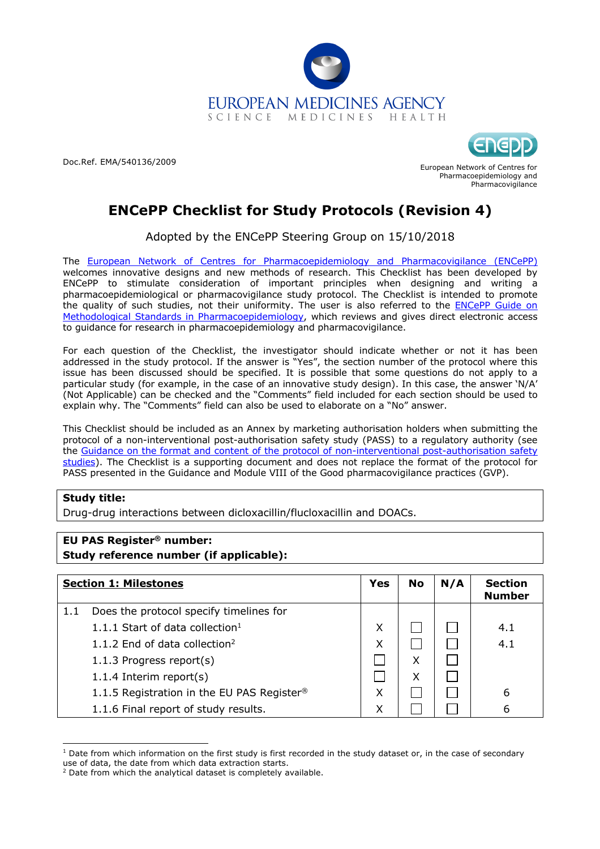

Doc.Ref. EMA/540136/2009



European Network of Centres for Pharmacoepidemiology and Pharmacovigilance

# **ENCePP Checklist for Study Protocols (Revision 4)**

Adopted by the ENCePP Steering Group on 15/10/2018

The European Network of Centres for Pharmacoepidemiology and Pharmacovigilance (ENCePP) welcomes innovative designs and new methods of research. This Checklist has been developed by ENCePP to stimulate consideration of important principles when designing and writing a pharmacoepidemiological or pharmacovigilance study protocol. The Checklist is intended to promote the quality of such studies, not their uniformity. The user is also referred to the ENCePP Guide on Methodological Standards in Pharmacoepidemiology, which reviews and gives direct electronic access to guidance for research in pharmacoepidemiology and pharmacovigilance.

For each question of the Checklist, the investigator should indicate whether or not it has been addressed in the study protocol. If the answer is "Yes", the section number of the protocol where this issue has been discussed should be specified. It is possible that some questions do not apply to a particular study (for example, in the case of an innovative study design). In this case, the answer 'N/A' (Not Applicable) can be checked and the "Comments" field included for each section should be used to explain why. The "Comments" field can also be used to elaborate on a "No" answer.

This Checklist should be included as an Annex by marketing authorisation holders when submitting the protocol of a non-interventional post-authorisation safety study (PASS) to a regulatory authority (see the Guidance on the format and content of the protocol of non-interventional post-authorisation safety studies). The Checklist is a supporting document and does not replace the format of the protocol for PASS presented in the Guidance and Module VIII of the Good pharmacovigilance practices (GVP).

# **Study title:**

Drug-drug interactions between dicloxacillin/flucloxacillin and DOACs.

# **EU PAS Register® number: Study reference number (if applicable):**

|     | <b>Section 1: Milestones</b>                           | Yes | No | N/A | <b>Section</b><br><b>Number</b> |
|-----|--------------------------------------------------------|-----|----|-----|---------------------------------|
| 1.1 | Does the protocol specify timelines for                |     |    |     |                                 |
|     | 1.1.1 Start of data collection $1$                     | X   |    |     | 4.1                             |
|     | 1.1.2 End of data collection <sup>2</sup>              | Χ   |    |     | 4.1                             |
|     | 1.1.3 Progress report(s)                               |     | Χ  |     |                                 |
|     | 1.1.4 Interim report $(s)$                             |     | x  |     |                                 |
|     | 1.1.5 Registration in the EU PAS Register <sup>®</sup> | Χ   |    |     | 6                               |
|     | 1.1.6 Final report of study results.                   | Χ   |    |     | 6                               |

 $1$  Date from which information on the first study is first recorded in the study dataset or, in the case of secondary use of data, the date from which data extraction starts.

 $2$  Date from which the analytical dataset is completely available.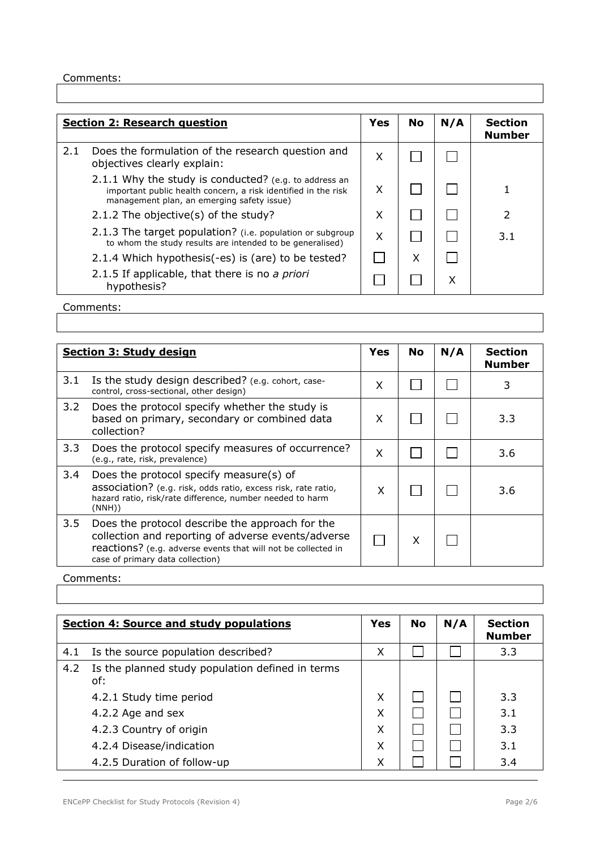|     | <b>Section 2: Research question</b>                                                                                                                                   | <b>Yes</b> | No | N/A | <b>Section</b><br><b>Number</b> |
|-----|-----------------------------------------------------------------------------------------------------------------------------------------------------------------------|------------|----|-----|---------------------------------|
| 2.1 | Does the formulation of the research question and<br>objectives clearly explain:                                                                                      | X          |    |     |                                 |
|     | 2.1.1 Why the study is conducted? (e.g. to address an<br>important public health concern, a risk identified in the risk<br>management plan, an emerging safety issue) | X          |    |     |                                 |
|     | 2.1.2 The objective(s) of the study?                                                                                                                                  | X          |    |     |                                 |
|     | 2.1.3 The target population? (i.e. population or subgroup<br>to whom the study results are intended to be generalised)                                                | X          |    |     | 3.1                             |
|     | 2.1.4 Which hypothesis(-es) is (are) to be tested?                                                                                                                    |            | X  |     |                                 |
|     | 2.1.5 If applicable, that there is no a priori<br>hypothesis?                                                                                                         |            |    | x   |                                 |
|     |                                                                                                                                                                       |            |    |     |                                 |

Comments:

|     | <b>Section 3: Study design</b>                                                                                                                                                                             | Yes | No | N/A | <b>Section</b><br><b>Number</b> |
|-----|------------------------------------------------------------------------------------------------------------------------------------------------------------------------------------------------------------|-----|----|-----|---------------------------------|
| 3.1 | Is the study design described? (e.g. cohort, case-<br>control, cross-sectional, other design)                                                                                                              | X   |    |     | 3                               |
| 3.2 | Does the protocol specify whether the study is<br>based on primary, secondary or combined data<br>collection?                                                                                              | X   |    |     | 3.3                             |
| 3.3 | Does the protocol specify measures of occurrence?<br>(e.g., rate, risk, prevalence)                                                                                                                        | X   |    |     | 3.6                             |
| 3.4 | Does the protocol specify measure(s) of<br>association? (e.g. risk, odds ratio, excess risk, rate ratio,<br>hazard ratio, risk/rate difference, number needed to harm<br>(NNH))                            | X   |    |     | 3.6                             |
| 3.5 | Does the protocol describe the approach for the<br>collection and reporting of adverse events/adverse<br>reactions? (e.g. adverse events that will not be collected in<br>case of primary data collection) |     | X  |     |                                 |

|     | <b>Section 4: Source and study populations</b>          | Yes | <b>No</b> | N/A | <b>Section</b><br><b>Number</b> |
|-----|---------------------------------------------------------|-----|-----------|-----|---------------------------------|
| 4.1 | Is the source population described?                     | X   |           |     | 3.3                             |
| 4.2 | Is the planned study population defined in terms<br>of: |     |           |     |                                 |
|     | 4.2.1 Study time period                                 | X   |           |     | 3.3                             |
|     | 4.2.2 Age and sex                                       | X   |           |     | 3.1                             |
|     | 4.2.3 Country of origin                                 | X   |           |     | 3.3                             |
|     | 4.2.4 Disease/indication                                | Χ   |           |     | 3.1                             |
|     | 4.2.5 Duration of follow-up                             | Χ   |           |     | 3.4                             |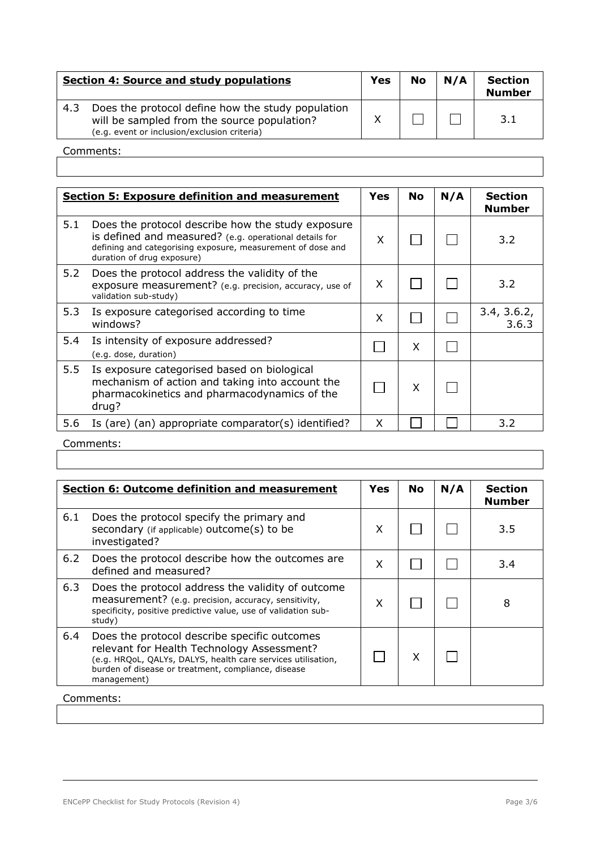|     | Section 4: Source and study populations                                                                                                          | Yes | <b>No</b> | N/A | <b>Section</b><br><b>Number</b> |
|-----|--------------------------------------------------------------------------------------------------------------------------------------------------|-----|-----------|-----|---------------------------------|
| 4.3 | Does the protocol define how the study population<br>will be sampled from the source population?<br>(e.g. event or inclusion/exclusion criteria) |     |           |     | <b>R</b> 1                      |

|     | <b>Section 5: Exposure definition and measurement</b>                                                                                                                                                    | Yes | <b>No</b> | N/A | <b>Section</b><br><b>Number</b> |
|-----|----------------------------------------------------------------------------------------------------------------------------------------------------------------------------------------------------------|-----|-----------|-----|---------------------------------|
| 5.1 | Does the protocol describe how the study exposure<br>is defined and measured? (e.g. operational details for<br>defining and categorising exposure, measurement of dose and<br>duration of drug exposure) | X   |           |     | 3.2                             |
| 5.2 | Does the protocol address the validity of the<br>exposure measurement? (e.g. precision, accuracy, use of<br>validation sub-study)                                                                        | X   |           |     | 3.2                             |
| 5.3 | Is exposure categorised according to time<br>windows?                                                                                                                                                    | X   |           |     | 3.4, 3.6.2,<br>3.6.3            |
| 5.4 | Is intensity of exposure addressed?<br>(e.g. dose, duration)                                                                                                                                             |     | X         |     |                                 |
| 5.5 | Is exposure categorised based on biological<br>mechanism of action and taking into account the<br>pharmacokinetics and pharmacodynamics of the<br>drug?                                                  |     | X         |     |                                 |
| 5.6 | Is (are) (an) appropriate comparator(s) identified?                                                                                                                                                      | X   |           |     | 3.2                             |

|     | Section 6: Outcome definition and measurement                                                                                                                                                                                    | <b>Yes</b> | No | N/A | <b>Section</b><br><b>Number</b> |
|-----|----------------------------------------------------------------------------------------------------------------------------------------------------------------------------------------------------------------------------------|------------|----|-----|---------------------------------|
| 6.1 | Does the protocol specify the primary and<br>secondary (if applicable) outcome(s) to be<br>investigated?                                                                                                                         | X          |    |     | 3.5                             |
| 6.2 | Does the protocol describe how the outcomes are<br>defined and measured?                                                                                                                                                         | X          |    |     | 3.4                             |
| 6.3 | Does the protocol address the validity of outcome<br>measurement? (e.g. precision, accuracy, sensitivity,<br>specificity, positive predictive value, use of validation sub-<br>study)                                            | X          |    |     | 8                               |
| 6.4 | Does the protocol describe specific outcomes<br>relevant for Health Technology Assessment?<br>(e.g. HRQoL, QALYs, DALYS, health care services utilisation,<br>burden of disease or treatment, compliance, disease<br>management) |            | X  |     |                                 |
|     | Comments:                                                                                                                                                                                                                        |            |    |     |                                 |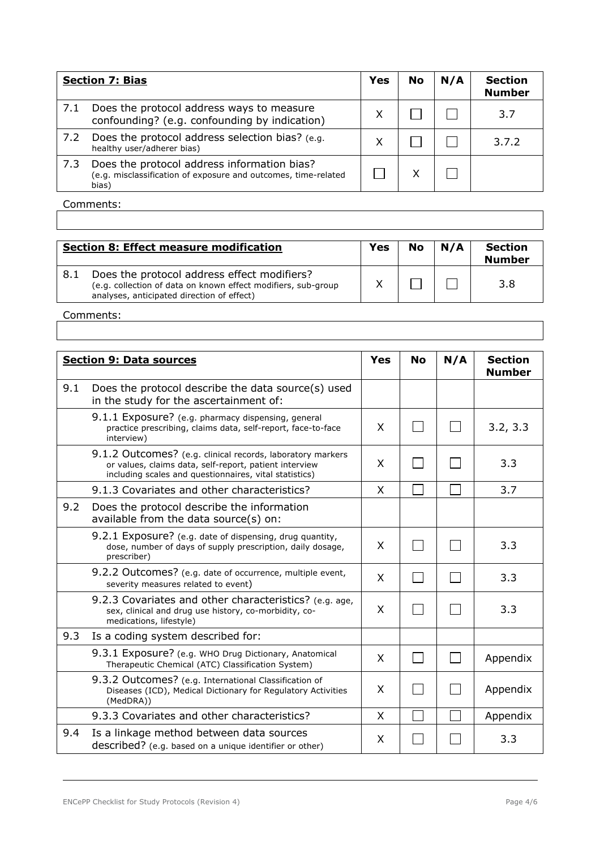|     | <b>Section 7: Bias</b>                                                                                                 | Yes | <b>No</b> | N/A | <b>Section</b><br><b>Number</b> |
|-----|------------------------------------------------------------------------------------------------------------------------|-----|-----------|-----|---------------------------------|
| 7.1 | Does the protocol address ways to measure<br>confounding? (e.g. confounding by indication)                             | X   |           |     | 3.7                             |
| 7.2 | Does the protocol address selection bias? (e.g.<br>healthy user/adherer bias)                                          | X   |           |     | 3.7.2                           |
| 7.3 | Does the protocol address information bias?<br>(e.g. misclassification of exposure and outcomes, time-related<br>bias) |     |           |     |                                 |

|      | <b>Section 8: Effect measure modification</b>                                                                                                              | <b>Yes</b> | <b>No</b> | N/A | <b>Section</b><br><b>Number</b> |
|------|------------------------------------------------------------------------------------------------------------------------------------------------------------|------------|-----------|-----|---------------------------------|
| -8.1 | Does the protocol address effect modifiers?<br>(e.g. collection of data on known effect modifiers, sub-group<br>analyses, anticipated direction of effect) |            |           |     | 3.8                             |

|     | <b>Section 9: Data sources</b>                                                                                                                                                 | Yes | <b>No</b> | N/A | <b>Section</b><br><b>Number</b> |
|-----|--------------------------------------------------------------------------------------------------------------------------------------------------------------------------------|-----|-----------|-----|---------------------------------|
| 9.1 | Does the protocol describe the data source(s) used<br>in the study for the ascertainment of:                                                                                   |     |           |     |                                 |
|     | 9.1.1 Exposure? (e.g. pharmacy dispensing, general<br>practice prescribing, claims data, self-report, face-to-face<br>interview)                                               | X   |           |     | 3.2, 3.3                        |
|     | 9.1.2 Outcomes? (e.g. clinical records, laboratory markers<br>or values, claims data, self-report, patient interview<br>including scales and questionnaires, vital statistics) | X   |           |     | 3.3                             |
|     | 9.1.3 Covariates and other characteristics?                                                                                                                                    | X   |           |     | 3.7                             |
| 9.2 | Does the protocol describe the information<br>available from the data source(s) on:                                                                                            |     |           |     |                                 |
|     | 9.2.1 Exposure? (e.g. date of dispensing, drug quantity,<br>dose, number of days of supply prescription, daily dosage,<br>prescriber)                                          | X   |           |     | 3.3                             |
|     | 9.2.2 Outcomes? (e.g. date of occurrence, multiple event,<br>severity measures related to event)                                                                               | X   |           |     | 3.3                             |
|     | 9.2.3 Covariates and other characteristics? (e.g. age,<br>sex, clinical and drug use history, co-morbidity, co-<br>medications, lifestyle)                                     | X   |           |     | 3.3                             |
| 9.3 | Is a coding system described for:                                                                                                                                              |     |           |     |                                 |
|     | 9.3.1 Exposure? (e.g. WHO Drug Dictionary, Anatomical<br>Therapeutic Chemical (ATC) Classification System)                                                                     | X   |           |     | Appendix                        |
|     | 9.3.2 Outcomes? (e.g. International Classification of<br>Diseases (ICD), Medical Dictionary for Regulatory Activities<br>(MedDRA))                                             | X   |           |     | Appendix                        |
|     | 9.3.3 Covariates and other characteristics?                                                                                                                                    | X   |           |     | Appendix                        |
| 9.4 | Is a linkage method between data sources<br>described? (e.g. based on a unique identifier or other)                                                                            | X   |           |     | 3.3                             |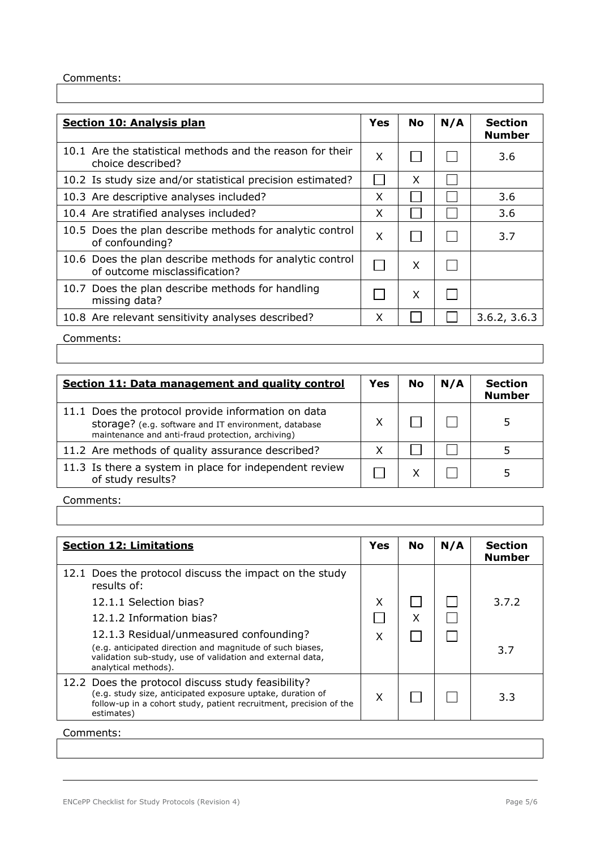| <b>Section 10: Analysis plan</b>                                                          | Yes | <b>No</b> | N/A | <b>Section</b><br><b>Number</b> |
|-------------------------------------------------------------------------------------------|-----|-----------|-----|---------------------------------|
| 10.1 Are the statistical methods and the reason for their<br>choice described?            | X   |           |     | 3.6                             |
| 10.2 Is study size and/or statistical precision estimated?                                |     | X         |     |                                 |
| 10.3 Are descriptive analyses included?                                                   | X   |           |     | 3.6                             |
| 10.4 Are stratified analyses included?                                                    | X   |           |     | 3.6                             |
| 10.5 Does the plan describe methods for analytic control<br>of confounding?               | X   |           |     | 3.7                             |
| 10.6 Does the plan describe methods for analytic control<br>of outcome misclassification? |     | X         |     |                                 |
| 10.7 Does the plan describe methods for handling<br>missing data?                         |     | X         |     |                                 |
| 10.8 Are relevant sensitivity analyses described?                                         | X   |           |     | 3.6.2, 3.6.3                    |

Comments:

| Section 11: Data management and quality control                                                                                                                 | Yes | <b>No</b> | N/A | <b>Section</b><br><b>Number</b> |
|-----------------------------------------------------------------------------------------------------------------------------------------------------------------|-----|-----------|-----|---------------------------------|
| 11.1 Does the protocol provide information on data<br>storage? (e.g. software and IT environment, database<br>maintenance and anti-fraud protection, archiving) |     |           |     |                                 |
| 11.2 Are methods of quality assurance described?                                                                                                                | χ   |           |     |                                 |
| 11.3 Is there a system in place for independent review<br>of study results?                                                                                     |     |           |     |                                 |

Comments:

| <b>Section 12: Limitations</b>                                                                                                                                                                      | Yes | <b>No</b> | N/A | <b>Section</b><br><b>Number</b> |
|-----------------------------------------------------------------------------------------------------------------------------------------------------------------------------------------------------|-----|-----------|-----|---------------------------------|
| 12.1 Does the protocol discuss the impact on the study<br>results of:                                                                                                                               |     |           |     |                                 |
| 12.1.1 Selection bias?                                                                                                                                                                              | Χ   |           |     | 3.7.2                           |
| 12.1.2 Information bias?                                                                                                                                                                            |     | X         |     |                                 |
| 12.1.3 Residual/unmeasured confounding?<br>(e.g. anticipated direction and magnitude of such biases,<br>validation sub-study, use of validation and external data,<br>analytical methods).          | x   |           |     | 3.7                             |
| 12.2 Does the protocol discuss study feasibility?<br>(e.g. study size, anticipated exposure uptake, duration of<br>follow-up in a cohort study, patient recruitment, precision of the<br>estimates) | x   |           |     | 3.3                             |